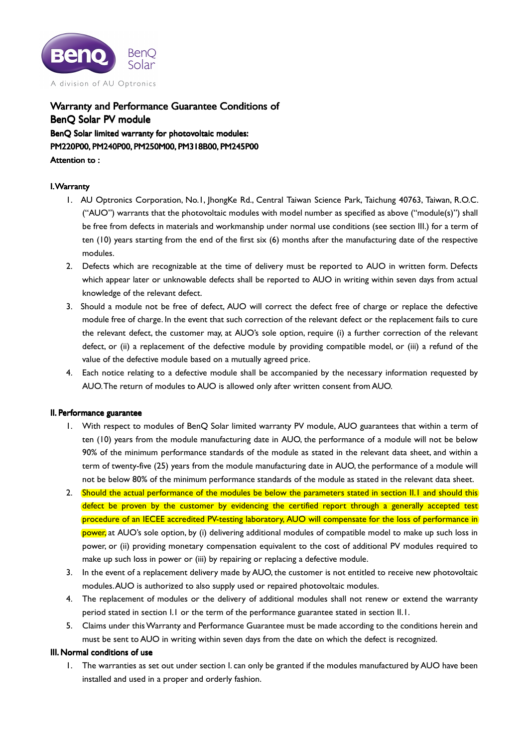

Warranty and Performance Guarantee Conditions of BenQ Solar PV module BenQ Solar limited warranty for photovoltaic modules: PM220P00, PM240P00, PM250M00, PM318B00, PM245P00 , PM245P00 Attention to:

# I. Warranty

- 1. AU Optronics Corporation, No.1, JhongKe Rd., Central Taiwan Science Park, Taichung 40763, Taiwan, R.O.C. ("AUO") warrants that the photovoltaic modules with model number as specified as above ("module(s)") shall be free from defects in materials and workmanship under normal use conditions (see section III.) for a term of ten (10) years starting from the end of the first six (6) months after the manufacturing date of the respective modules.
- 2. Defects which are recognizable at the time of delivery must be reported to AUO in written form. Defects which appear later or unknowable defects shall be reported to AUO in writing within seven days from actual knowledge of the relevant defect.
- 3. Should a module not be free of defect, AUO will correct the defect free of charge or replace the defective module free of charge. In the event that such correction of the relevant defect or the replacement fails to cure the relevant defect, the customer may, at AUO's sole option, require (i) a further correction of the relevant defect, or (ii) a replacement of the defective module by providing compatible model, or (iii) a refund of the value of the defective module based on a mutually agreed price.
- 4. Each notice relating to a defective module shall be accompanied by the necessary information requested by AUO. The return of modules to AUO is allowed only after written consent from AUO.

## II. Performance guarantee

- 1. With respect to modules of BenQ Solar limited warranty PV module, AUO guarantees that within a term of ten (10) years from the module manufacturing date in AUO, the performance of a module will not be below 90% of the minimum performance standards of the module as stated in the relevant data sheet, and within a term of twenty-five (25) years from the module manufacturing date in AUO, the performance of a module will not be below 80% of the minimum performance standards of the module as stated in the relevant data sheet.
- 2. Should the actual performance of the modules be below the parameters stated in section II.1 and should this defect be proven by the customer by evidencing the certified report through a generally accepted test procedure of an IECEE accredited PV-testing laboratory, AUO will compensate for the loss of performance in power, at AUO's sole option, by (i) delivering additional modules of compatible model to make up such loss in power, or (ii) providing monetary compensation equivalent to the cost of additional PV modules required to make up such loss in power or (iii) by repairing or replacing a defective module.
- 3. In the event of a replacement delivery made by AUO, the customer is not entitled to receive new photovoltaic modules. AUO is authorized to also supply used or repaired photovoltaic modules.
- 4. The replacement of modules or the delivery of additional modules shall not renew or extend the warranty period stated in section I.1 or the term of the performance guarantee stated in section II.1.
- 5. Claims under this Warranty and Performance Guarantee must be made according to the conditions herein and must be sent to AUO in writing within seven days from the date on which the defect is recognized.

## III. Normal conditions of use

1. The warranties as set out under section I. can only be granted if the modules manufactured by AUO have been installed and used in a proper and orderly fashion.